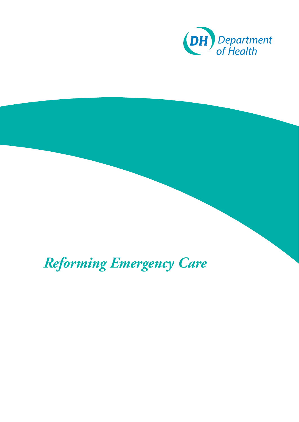

*Reforming Emergency Care*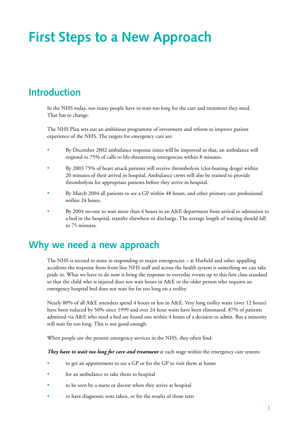# **First Steps to a New Approach**

### **Introduction**

In the NHS today, too many people have to wait too long for the care and treatment they need. That has to change.

The NHS Plan sets out an ambitious programme of investment and reform to improve patient experience of the NHS. The targets for emergency care are:

- By December 2002 ambulance response times will be improved so that, an ambulance will respond to 75% of calls to life-threatening emergencies within 8 minutes.
- By 2003 75% of heart attack patients will receive thrombolysis (clot-busting drugs) within 20 minutes of their arrival in hospital. Ambulance crews will also be trained to provide thrombolysis for appropriate patients before they arrive in hospital.
- By March 2004 all patients to see a GP within 48 hours, and other primary care professional within 24 hours.
- By 2004 no-one to wait more than 4 hours in an A&E department from arrival to admission to a bed in the hospital, transfer elsewhere or discharge. The average length of waiting should fall to 75 minutes.

### **Why we need a new approach**

The NHS is second to none in responding to major emergencies – at Hatfield and other appalling accidents the response from front line NHS staff and across the health system is something we can take pride in. What we have to do now is bring the response to everyday events up to this first class standard so that the child who is injured does not wait hours in A&E or the older person who requires an emergency hospital bed does not wait for far too long on a trolley.

Nearly 80% of all A&E attenders spend 4 hours or less in A&E. Very long trolley waits (over 12 hours) have been reduced by 50% since 1999 and over 24 hour waits have been eliminated. 87% of patients admitted via A&E who need a bed are found one within 4 hours of a decision to admit. But a minority still wait far too long. This is not good enough.

When people use the present emergency services in the NHS, they often find:

*They have to wait too long for care and treatment* at each stage within the emergency care system:

- to get an appointment to see a GP or for the GP to visit them at home
- for an ambulance to take them to hospital
- to be seen by a nurse or doctor when they arrive at hospital
- to have diagnostic tests taken, or for the results of those tests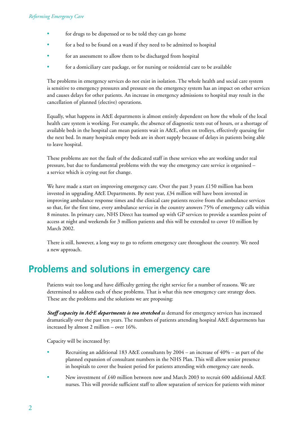- for drugs to be dispensed or to be told they can go home
- for a bed to be found on a ward if they need to be admitted to hospital
- for an assessment to allow them to be discharged from hospital
- for a domiciliary care package, or for nursing or residential care to be available

The problems in emergency services do not exist in isolation. The whole health and social care system is sensitive to emergency pressures and pressure on the emergency system has an impact on other services and causes delays for other patients. An increase in emergency admissions to hospital may result in the cancellation of planned (elective) operations.

Equally, what happens in A&E departments is almost entirely dependent on how the whole of the local health care system is working. For example, the absence of diagnostic tests out of hours, or a shortage of available beds in the hospital can mean patients wait in A&E, often on trolleys, effectively queuing for the next bed. In many hospitals empty beds are in short supply because of delays in patients being able to leave hospital.

These problems are not the fault of the dedicated staff in these services who are working under real pressure, but due to fundamental problems with the way the emergency care service is organised – a service which is crying out for change.

We have made a start on improving emergency care. Over the past 3 years £150 million has been invested in upgrading A&E Departments. By next year, £34 million will have been invested in improving ambulance response times and the clinical care patients receive from the ambulance services so that, for the first time, every ambulance service in the country answers 75% of emergency calls within 8 minutes. In primary care, NHS Direct has teamed up with GP services to provide a seamless point of access at night and weekends for 3 million patients and this will be extended to cover 10 million by March 2002.

There is still, however, a long way to go to reform emergency care throughout the country. We need a new approach.

### **Problems and solutions in emergency care**

Patients wait too long and have difficulty getting the right service for a number of reasons. We are determined to address each of these problems. That is what this new emergency care strategy does. These are the problems and the solutions we are proposing:

**Staff capacity in A&E departments is too stretched** as demand for emergency services has increased dramatically over the past ten years. The numbers of patients attending hospital A&E departments has increased by almost 2 million – over 16%.

Capacity will be increased by:

- Recruiting an additional 183 A&E consultants by 2004 an increase of 40% as part of the planned expansion of consultant numbers in the NHS Plan. This will allow senior presence in hospitals to cover the busiest period for patients attending with emergency care needs.
- New investment of £40 million between now and March 2003 to recruit 600 additional A&E nurses. This will provide sufficient staff to allow separation of services for patients with minor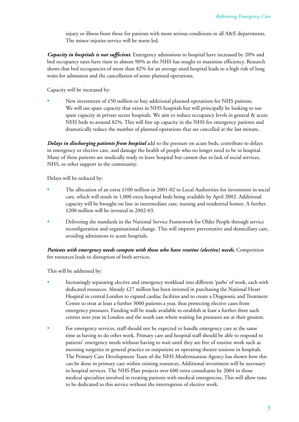injury or illness from those for patients with more serious conditions in all A&E departments. The minor injuries service will be nurse led.

*Capacity in hospitals is not sufficient.* Emergency admissions to hospital have increased by 20% and bed occupancy rates have risen to almost 90% as the NHS has sought to maximise efficiency. Research shows that bed occupancies of more than 82% for an average sized hospital leads to a high risk of long waits for admission and the cancellation of some planned operations.

Capacity will be increased by:

New investment of £50 million to buy additional planned operations for NHS patients. We will use spare capacity that exists in NHS hospitals but will principally be looking to use spare capacity in private sector hospitals. We aim to reduce occupancy levels in general & acute NHS beds to around 82%. This will free up capacity in the NHS for emergency patients and dramatically reduce the number of planned operations that are cancelled at the last minute.

*Delays in discharging patients from hospital* add to the pressure on acute beds, contribute to delays in emergency or elective care, and damage the health of people who no longer need to be in hospital. Many of these patients are medically ready to leave hospital but cannot due to lack of social services, NHS, or other support in the community.

Delays will be reduced by:

- The allocation of an extra £100 million in 2001-02 to Local Authorities for investment in social care, which will result in 1,000 extra hospital beds being available by April 2002. Additional capacity will be brought on line in intermediate care, nursing and residential homes. A further £200 million will be invested in 2002-03.
- Delivering the standards in the National Service Framework for Older People through service reconfiguration and organisational change. This will improve preventative and domiciliary care, avoiding admissions to acute hospitals.

*Patients with emergency needs compete with those who have routine (elective) needs.* Competition for resources leads to disruption of both services.

This will be addressed by:

- Increasingly separating elective and emergency workload into different 'paths' of work, each with dedicated resources. Already £27 million has been invested in purchasing the National Heart Hospital in central London to expand cardiac facilities and to create a Diagnostic and Treatment Centre to treat at least a further 3000 patients a year, thus protecting elective cases from emergency pressures. Funding will be made available to establish at least a further three such centres next year in London and the south east where waiting list pressures are at their greatest.
- For emergency services, staff should not be expected to handle emergency care at the same time as having to do other work. Primary care and hospital staff should be able to respond to patients' emergency needs without having to wait until they are free of routine work such as morning surgeries in general practice or outpatient or operating theatre sessions in hospitals. The Primary Care Development Team of the NHS Modernisation Agency has shown how this can be done in primary care within existing resources. Additional investment will be necessary in hospital services. The NHS Plan projects over 600 extra consultants by 2004 in those medical specialties involved in treating patients with medical emergencies. This will allow time to be dedicated to this service without the interruption of elective work.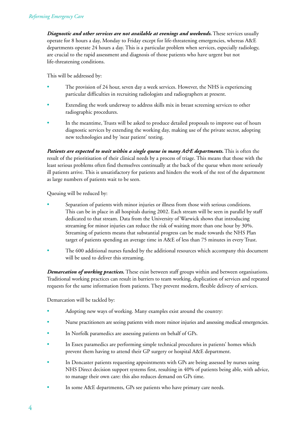*Diagnostic and other services are not available at evenings and weekends.* These services usually operate for 8 hours a day, Monday to Friday except for life-threatening emergencies, whereas A&E departments operate 24 hours a day. This is a particular problem when services, especially radiology, are crucial to the rapid assessment and diagnosis of those patients who have urgent but not life-threatening conditions.

This will be addressed by:

- The provision of 24 hour, seven day a week services. However, the NHS is experiencing particular difficulties in recruiting radiologists and radiographers at present.
- Extending the work underway to address skills mix in breast screening services to other radiographic procedures.
- In the meantime, Trusts will be asked to produce detailed proposals to improve out of hours diagnostic services by extending the working day, making use of the private sector, adopting new technologies and by 'near patient' testing.

*Patients are expected to wait within a single queue in many A&E departments*. This is often the result of the prioritisation of their clinical needs by a process of triage. This means that those with the least serious problems often find themselves continually at the back of the queue when more seriously ill patients arrive. This is unsatisfactory for patients and hinders the work of the rest of the department as large numbers of patients wait to be seen.

Queuing will be reduced by:

- Separation of patients with minor injuries or illness from those with serious conditions. This can be in place in all hospitals during 2002. Each stream will be seen in parallel by staff dedicated to that stream. Data from the University of Warwick shows that introducing streaming for minor injuries can reduce the risk of waiting more than one hour by 30%. Streaming of patients means that substantial progress can be made towards the NHS Plan target of patients spending an average time in A&E of less than 75 minutes in every Trust.
- The 600 additional nurses funded by the additional resources which accompany this document will be used to deliver this streaming.

*Demarcation of working practices.* These exist between staff groups within and between organisations. Traditional working practices can result in barriers to team working, duplication of services and repeated requests for the same information from patients. They prevent modern, flexible delivery of services.

Demarcation will be tackled by:

- Adopting new ways of working. Many examples exist around the country:
- Nurse practitioners are seeing patients with more minor injuries and assessing medical emergencies.
- In Norfolk paramedics are assessing patients on behalf of GPs.
- In Essex paramedics are performing simple technical procedures in patients' homes which prevent them having to attend their GP surgery or hospital A&E department.
- In Doncaster patients requesting appointments with GPs are being assessed by nurses using NHS Direct decision support systems first, resulting in 40% of patients being able, with advice, to manage their own care: this also reduces demand on GPs time.
- In some A&E departments, GPs see patients who have primary care needs.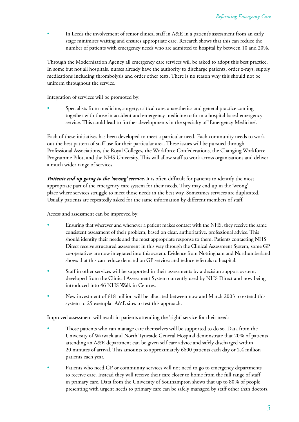In Leeds the involvement of senior clinical staff in A&E in a patient's assessment from an early stage minimises waiting and ensures appropriate care. Research shows that this can reduce the number of patients with emergency needs who are admitted to hospital by between 10 and 20%.

Through the Modernisation Agency all emergency care services will be asked to adopt this best practice. In some but not all hospitals, nurses already have the authority to discharge patients, order x-rays, supply medications including thrombolysis and order other tests. There is no reason why this should not be uniform throughout the service.

Integration of services will be promoted by:

Specialists from medicine, surgery, critical care, anaesthetics and general practice coming together with those in accident and emergency medicine to form a hospital based emergency service. This could lead to further developments in the specialty of 'Emergency Medicine'.

Each of these initiatives has been developed to meet a particular need. Each community needs to work out the best pattern of staff use for their particular area. These issues will be pursued through Professional Associations, the Royal Colleges, the Workforce Confederations, the Changing Workforce Programme Pilot, and the NHS University. This will allow staff to work across organisations and deliver a much wider range of services.

*Patients end up going to the 'wrong' service.* It is often difficult for patients to identify the most appropriate part of the emergency care system for their needs. They may end up in the 'wrong' place where services struggle to meet those needs in the best way. Sometimes services are duplicated. Usually patients are repeatedly asked for the same information by different members of staff.

Access and assessment can be improved by:

- Ensuring that wherever and whenever a patient makes contact with the NHS, they receive the same consistent assessment of their problem, based on clear, authoritative, professional advice. This should identify their needs and the most appropriate response to them. Patients contacting NHS Direct receive structured assessment in this way through the Clinical Assessment System, some GP co-operatives are now integrated into this system. Evidence from Nottingham and Northumberland shows that this can reduce demand on GP services and reduce referrals to hospital.
- Staff in other services will be supported in their assessments by a decision support system, developed from the Clinical Assessment System currently used by NHS Direct and now being introduced into 46 NHS Walk in Centres.
- New investment of £18 million will be allocated between now and March 2003 to extend this system to 25 exemplar A&E sites to test this approach.

Improved assessment will result in patients attending the 'right' service for their needs.

- Those patients who can manage care themselves will be supported to do so. Data from the University of Warwick and North Tyneside General Hospital demonstrate that 20% of patients attending an A&E department can be given self care advice and safely discharged within 20 minutes of arrival. This amounts to approximately 6600 patients each day or 2.4 million patients each year.
- Patients who need GP or community services will not need to go to emergency departments to receive care. Instead they will receive their care closer to home from the full range of staff in primary care. Data from the University of Southampton shows that up to 80% of people presenting with urgent needs to primary care can be safely managed by staff other than doctors.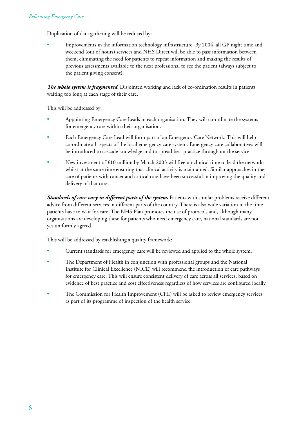Duplication of data gathering will be reduced by:

• Improvements in the information technology infrastructure. By 2004, all GP night time and weekend (out of hours) services and NHS Direct will be able to pass information between them, eliminating the need for patients to repeat information and making the results of previous assessments available to the next professional to see the patient (always subject to the patient giving consent).

*The whole system is fragmented.* Disjointed working and lack of co-ordination results in patients waiting too long at each stage of their care.

This will be addressed by:

- Appointing Emergency Care Leads in each organisation. They will co-ordinate the systems for emergency care within their organisation.
- Each Emergency Care Lead will form part of an Emergency Care Network. This will help co-ordinate all aspects of the local emergency care system. Emergency care collaboratives will be introduced to cascade knowledge and to spread best practice throughout the service.
- New investment of £10 million by March 2003 will free up clinical time to lead the networks whilst at the same time ensuring that clinical activity is maintained. Similar approaches in the care of patients with cancer and critical care have been successful in improving the quality and delivery of that care.

*Standards of care vary in different parts of the system.* Patients with similar problems receive different advice from different services in different parts of the country. There is also wide variation in the time patients have to wait for care. The NHS Plan promotes the use of protocols and, although many organisations are developing these for patients who need emergency care, national standards are not yet uniformly agreed.

This will be addressed by establishing a quality framework:

- Current standards for emergency care will be reviewed and applied to the whole system.
- The Department of Health in conjunction with professional groups and the National Institute for Clinical Excellence (NICE) will recommend the introduction of care pathways for emergency care. This will ensure consistent delivery of care across all services, based on evidence of best practice and cost effectiveness regardless of how services are configured locally.
- The Commission for Health Improvement (CHI) will be asked to review emergency services as part of its programme of inspection of the health service.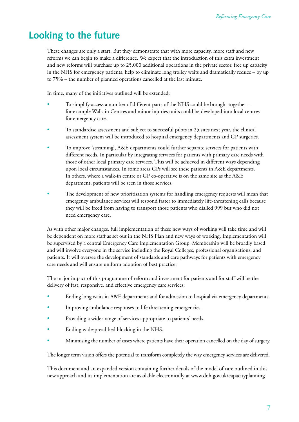## **Looking to the future**

These changes are only a start. But they demonstrate that with more capacity, more staff and new reforms we can begin to make a difference. We expect that the introduction of this extra investment and new reforms will purchase up to 25,000 additional operations in the private sector, free up capacity in the NHS for emergency patients, help to eliminate long trolley waits and dramatically reduce – by up to 75% – the number of planned operations cancelled at the last minute.

In time, many of the initiatives outlined will be extended:

- To simplify access a number of different parts of the NHS could be brought together for example Walk-in Centres and minor injuries units could be developed into local centres for emergency care.
- To standardise assessment and subject to successful pilots in 25 sites next year, the clinical assessment system will be introduced to hospital emergency departments and GP surgeries.
- To improve 'streaming', A&E departments could further separate services for patients with different needs. In particular by integrating services for patients with primary care needs with those of other local primary care services. This will be achieved in different ways depending upon local circumstances. In some areas GPs will see these patients in A&E departments. In others, where a walk-in centre or GP co-operative is on the same site as the A&E department, patients will be seen in those services.
- The development of new prioritisation systems for handling emergency requests will mean that emergency ambulance services will respond faster to immediately life-threatening calls because they will be freed from having to transport those patients who dialled 999 but who did not need emergency care.

As with other major changes, full implementation of these new ways of working will take time and will be dependent on more staff as set out in the NHS Plan and new ways of working. Implementation will be supervised by a central Emergency Care Implementation Group. Membership will be broadly based and will involve everyone in the service including the Royal Colleges, professional organisations, and patients. It will oversee the development of standards and care pathways for patients with emergency care needs and will ensure uniform adoption of best practice.

The major impact of this programme of reform and investment for patients and for staff will be the delivery of fast, responsive, and effective emergency care services:

- Ending long waits in A&E departments and for admission to hospital via emergency departments.
- Improving ambulance responses to life threatening emergencies.
- Providing a wider range of services appropriate to patients' needs.
- Ending widespread bed blocking in the NHS.
- Minimising the number of cases where patients have their operation cancelled on the day of surgery.

The longer term vision offers the potential to transform completely the way emergency services are delivered.

This document and an expanded version containing further details of the model of care outlined in this new approach and its implementation are available electronically at www.doh.gov.uk/capacityplanning